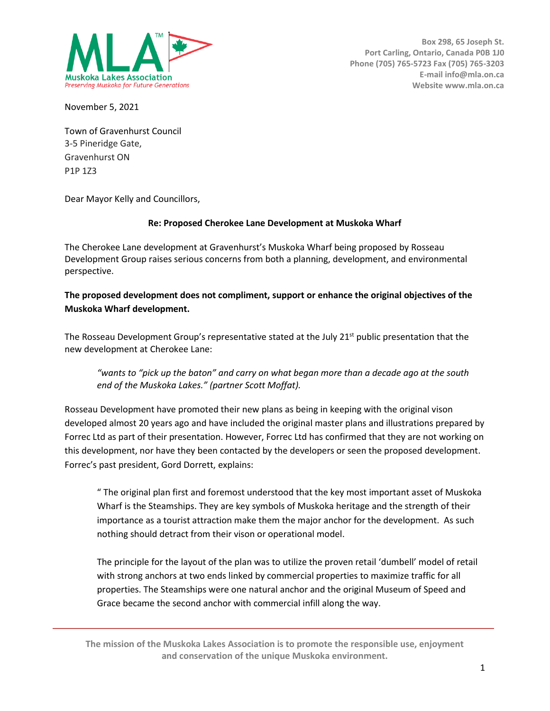

**Box 298, 65 Joseph St. Port Carling, Ontario, Canada P0B 1J0 Phone (705) 765-5723 Fax (705) 765-3203 E-mail info@mla.on.ca Website www.mla.on.ca**

November 5, 2021

Town of Gravenhurst Council 3-5 Pineridge Gate, Gravenhurst ON P1P 1Z3

Dear Mayor Kelly and Councillors,

## **Re: Proposed Cherokee Lane Development at Muskoka Wharf**

The Cherokee Lane development at Gravenhurst's Muskoka Wharf being proposed by Rosseau Development Group raises serious concerns from both a planning, development, and environmental perspective.

## **The proposed development does not compliment, support or enhance the original objectives of the Muskoka Wharf development.**

The Rosseau Development Group's representative stated at the July 21<sup>st</sup> public presentation that the new development at Cherokee Lane:

*"wants to "pick up the baton" and carry on what began more than a decade ago at the south end of the Muskoka Lakes." (partner Scott Moffat).*

Rosseau Development have promoted their new plans as being in keeping with the original vison developed almost 20 years ago and have included the original master plans and illustrations prepared by Forrec Ltd as part of their presentation. However, Forrec Ltd has confirmed that they are not working on this development, nor have they been contacted by the developers or seen the proposed development. Forrec's past president, Gord Dorrett, explains:

" The original plan first and foremost understood that the key most important asset of Muskoka Wharf is the Steamships. They are key symbols of Muskoka heritage and the strength of their importance as a tourist attraction make them the major anchor for the development. As such nothing should detract from their vison or operational model.

The principle for the layout of the plan was to utilize the proven retail 'dumbell' model of retail with strong anchors at two ends linked by commercial properties to maximize traffic for all properties. The Steamships were one natural anchor and the original Museum of Speed and Grace became the second anchor with commercial infill along the way.

**The mission of the Muskoka Lakes Association is to promote the responsible use, enjoyment and conservation of the unique Muskoka environment.**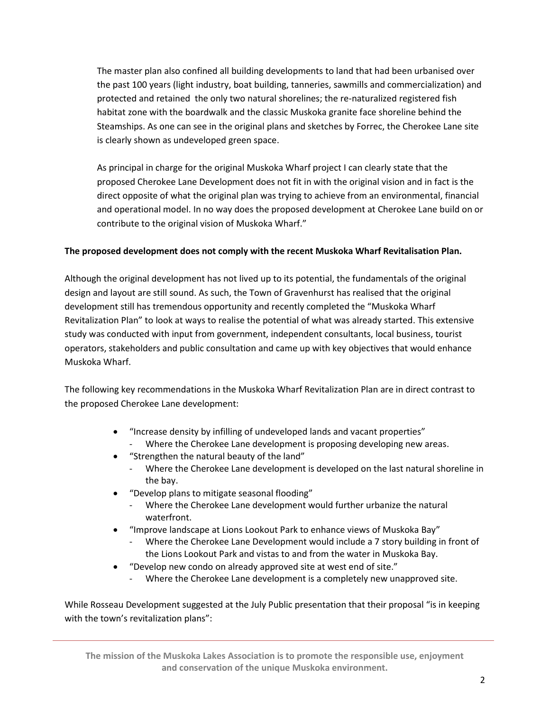The master plan also confined all building developments to land that had been urbanised over the past 100 years (light industry, boat building, tanneries, sawmills and commercialization) and protected and retained the only two natural shorelines; the re-naturalized registered fish habitat zone with the boardwalk and the classic Muskoka granite face shoreline behind the Steamships. As one can see in the original plans and sketches by Forrec, the Cherokee Lane site is clearly shown as undeveloped green space.

As principal in charge for the original Muskoka Wharf project I can clearly state that the proposed Cherokee Lane Development does not fit in with the original vision and in fact is the direct opposite of what the original plan was trying to achieve from an environmental, financial and operational model. In no way does the proposed development at Cherokee Lane build on or contribute to the original vision of Muskoka Wharf."

## **The proposed development does not comply with the recent Muskoka Wharf Revitalisation Plan.**

Although the original development has not lived up to its potential, the fundamentals of the original design and layout are still sound. As such, the Town of Gravenhurst has realised that the original development still has tremendous opportunity and recently completed the "Muskoka Wharf Revitalization Plan" to look at ways to realise the potential of what was already started. This extensive study was conducted with input from government, independent consultants, local business, tourist operators, stakeholders and public consultation and came up with key objectives that would enhance Muskoka Wharf.

The following key recommendations in the Muskoka Wharf Revitalization Plan are in direct contrast to the proposed Cherokee Lane development:

- "Increase density by infilling of undeveloped lands and vacant properties" Where the Cherokee Lane development is proposing developing new areas.
- "Strengthen the natural beauty of the land"
	- Where the Cherokee Lane development is developed on the last natural shoreline in the bay.
- "Develop plans to mitigate seasonal flooding"
	- Where the Cherokee Lane development would further urbanize the natural waterfront.
- "Improve landscape at Lions Lookout Park to enhance views of Muskoka Bay"
	- Where the Cherokee Lane Development would include a 7 story building in front of the Lions Lookout Park and vistas to and from the water in Muskoka Bay.
- "Develop new condo on already approved site at west end of site."
	- Where the Cherokee Lane development is a completely new unapproved site.

While Rosseau Development suggested at the July Public presentation that their proposal "is in keeping with the town's revitalization plans":

**The mission of the Muskoka Lakes Association is to promote the responsible use, enjoyment and conservation of the unique Muskoka environment.**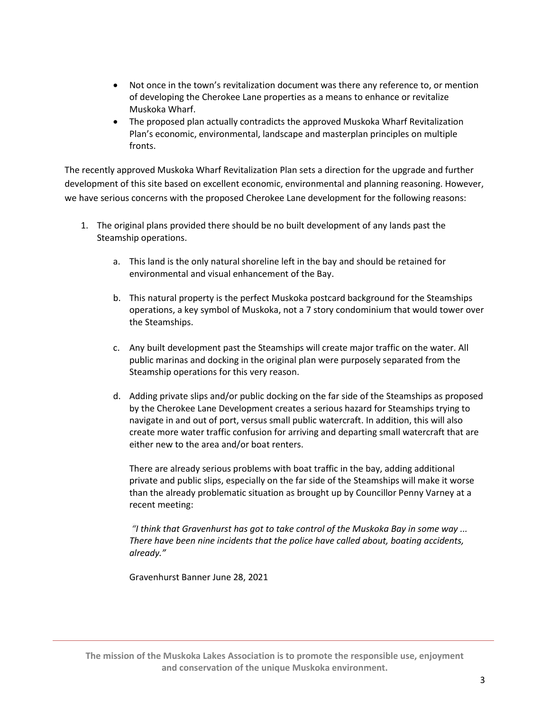- Not once in the town's revitalization document was there any reference to, or mention of developing the Cherokee Lane properties as a means to enhance or revitalize Muskoka Wharf.
- The proposed plan actually contradicts the approved Muskoka Wharf Revitalization Plan's economic, environmental, landscape and masterplan principles on multiple fronts.

The recently approved Muskoka Wharf Revitalization Plan sets a direction for the upgrade and further development of this site based on excellent economic, environmental and planning reasoning. However, we have serious concerns with the proposed Cherokee Lane development for the following reasons:

- 1. The original plans provided there should be no built development of any lands past the Steamship operations.
	- a. This land is the only natural shoreline left in the bay and should be retained for environmental and visual enhancement of the Bay.
	- b. This natural property is the perfect Muskoka postcard background for the Steamships operations, a key symbol of Muskoka, not a 7 story condominium that would tower over the Steamships.
	- c. Any built development past the Steamships will create major traffic on the water. All public marinas and docking in the original plan were purposely separated from the Steamship operations for this very reason.
	- d. Adding private slips and/or public docking on the far side of the Steamships as proposed by the Cherokee Lane Development creates a serious hazard for Steamships trying to navigate in and out of port, versus small public watercraft. In addition, this will also create more water traffic confusion for arriving and departing small watercraft that are either new to the area and/or boat renters.

There are already serious problems with boat traffic in the bay, adding additional private and public slips, especially on the far side of the Steamships will make it worse than the already problematic situation as brought up by Councillor Penny Varney at a recent meeting:

*"I think that Gravenhurst has got to take control of the Muskoka Bay in some way ... There have been nine incidents that the police have called about, boating accidents, already."*

Gravenhurst Banner June 28, 2021

**The mission of the Muskoka Lakes Association is to promote the responsible use, enjoyment and conservation of the unique Muskoka environment.**